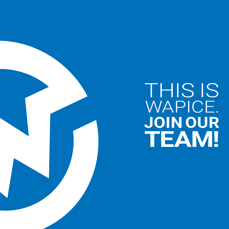# THIS IS WAPICE. **JOIN OUR TEAM!**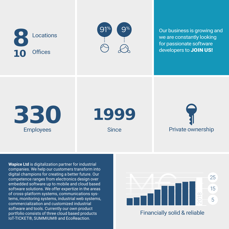



Our business is growing and we are constantly looking for passionate software developers to JOIN US!

**330** 

**1999**



**Wapice Ltd** is digitalization partner for industrial companies. We help our customers transform into digital champions for creating a better future. Our competence ranges from electronics design over embedded software up to mobile and cloud based software solutions. We offer expertize in the areas of cross-platform systems, communications systems, monitoring systems, industrial web systems, commercialization and customized industrial software and tools. Currently our own product portfolio consists of three cloud based products IoT-TICKET®, SUMMIUM® and EcoReaction.

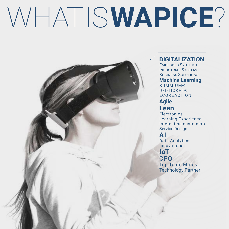# WHAT IS**WAPICE**?

## **EMBEDDED SYSTEMS** Industrial Systems Business Solutions **Machine Learning** SUMMIUM® IOT-TICKET® ECOREACTION **Agile Lean Electronics** Learning Experience Interesting customers Service Design **AI** Data Analytics Innovations **IoT**

CPQ Top Team Mates Technology Partner

**DIGITALIZATION**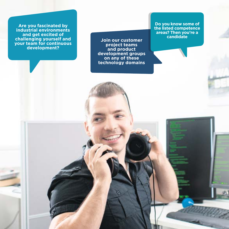**Are you fascinated by industrial environments and get excited of challenging yourself and your team for continuous development?**

**Join our customer project teams and product development groups on any of these technology domains**

**Do you know some of the listed competence areas? Then you're a candidate**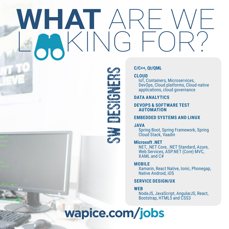# **WHAT** AF  $\big|\bigwedge\bigg(\begin{smallmatrix} \cdot \ -1 \end{smallmatrix}\bigg)$



#### **CLOUD**

IoT, Containers, Microservices, DevOps, Cloud platforms, Cloud-native applications, cloud governance

# **DATA ANALYTICS**

#### **DEVOPS & SOFTWARE TEST AUTOMATION**

## **EMBEDDED SYSTEMS AND LINUX**

#### **JAVA**

Spring Boot, Spring Framework, Spring Cloud Stack, Vaadin

## **Microsoft .NET**

NET, .NET Core, .NET Standard, Azure, Web Services, ASP.NET (Core) MVC, XAML and C#

#### **MOBILE**

Xamarin, React Native, Ionic, Phonegap, Native Android, iOS

## **SERVICE DESIGN/UX**

## **WEB**

NodeJS, JavaScript, AngularJS, React, Bootstrap, HTML5 and CSS3

C/C++, Qt/QML<br>
CLOUD<br>
CLOUD<br>
CLOUD<br>
DEVOPS, Cloud<br>
applications, com<br>
applications, com<br> **DEVOPS & SOF**<br> **DEVOPS & SOF**<br>
ANTA ANALYTIU<br>
DEVOPS & SOF<br>
MITOMATION<br>
ENGEDED SYS<br>
MOVEL SERVICE DESIGNAML and C#<br>
MOBILE<br>
MOBILE<br>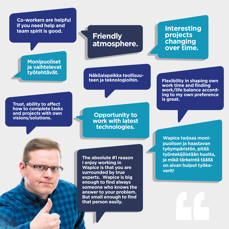**Co-workers are helpful if you need help and team spirit is good.**

# **Friendly atmosphere.**

**Monipuoliset ja vaihtelevat työtehtävät.**

**Näköalapaikka teollisuu- teen ja teknologioihin.** 

**Opportunity to work with latest technologies.**

**The absolute #1 reason I enjoy working in Wapice is that you are surrounded by true experts. Wapice is big enough to find always someone who knows the answer to your problem. But small enough to find that person easily.**

**Flexibility in shaping own work time and finding ing to my own preference is great.**

**Interesting projects changing over time.**

**Wapice tarjoaa monipuolisen ja haastavan työympäristön, pitää työntekijöistään huolta, ja mikä tärkeintä täällä on aivan huiput työkaverit!**

**Trust, ability to affect how to complete tasks and projects with own visions/solutions.**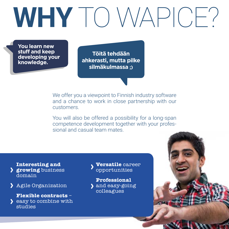# **WHY** TO WAPICE?

**You learn new stuff and keep developing your knowledge.**

**Töitä tehdään ahkerasti, mutta pilke silmäkulmassa ;)**

We offer you a viewpoint to Finnish industry software and a chance to work in close partnership with our customers.

You will also be offered a possibility for a long-span competence development together with your professional and casual team mates.

## **Interesting and growing** business domain

> Agile Organization

**Flexible contracts** – easy to combine with studies

**Versatile** career opportunities

**Professional**  and easy-going colleagues

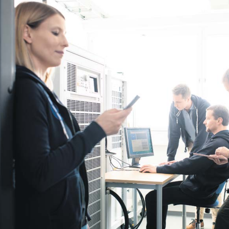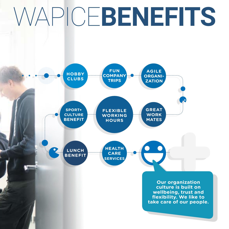# **WAPICEBENEFITS**

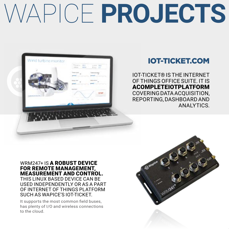# WAPICE **PROJECTS**



# IOT-TICKET.COM

IOT-TICKET® IS THE INTERNET OF THINGS OFFICE SUITE. IT IS **ACOMPLETEIOTPLATFORM** COVERING DATA ACQUISITION, REPORTING, DASHBOARD AND ANALYTICS.

## WRM247+ IS A ROBUST DEVICE FOR REMOTE MANAGEMENT, MEASUREMENT AND CONTROL. THIS LINUX BASED DEVICE CAN BE USED INDEPENDENTLY OR AS A PART OF INTERNET OF THINGS PLATFORM SUCH AS WAPICE'S IOT-TICKET.

It supports the most common field buses, has plenty of I/O and wireless connections to the cloud.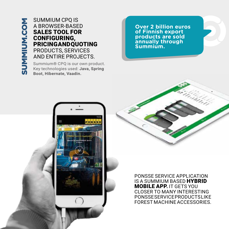# SUMMIUM.COM

# **EXAMPLE PROVECTS**<br> **PERO** A BROWSER-BASE A BROWSER-BASED SALES TOOL FOR CONFIGURING, PRICING AND QUOTING PRODUCTS, SERVICES AND ENTIRE PROJECTS.

Summium® CPQ is our own product. Key technologies used: **Java, Spring Boot, Hibernate, Vaadin.**

**Over 2 billion euros of Finnish export products are sold annually through Summium.**





PONSSE SERVICE APPLICATION IS A SUMMIUM BASED HYBRID MOBILE APP. IT GETS YOU CLOSER TO MANY INTERESTING **PONSSE SERVICE PRODUCTS LIKE** FOREST MACHINE ACCESSORIES.